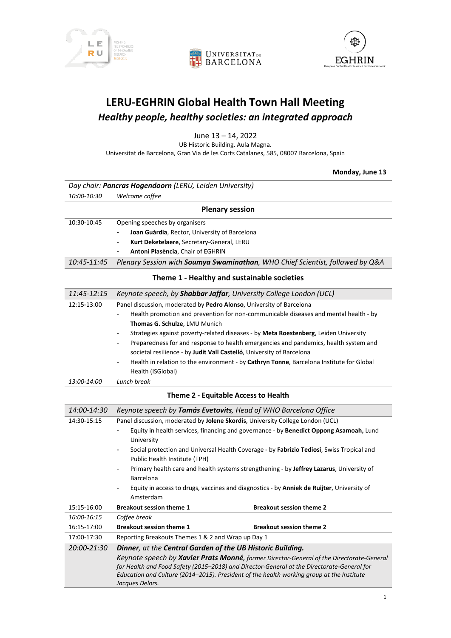





# **LERU-EGHRIN Global Health Town Hall Meeting** *Healthy people, healthy societies: an integrated approach*

June 13 – 14, 2022

UB Historic Building. Aula Magna. Universitat de Barcelona, Gran Via de les Corts Catalanes, 585, 08007 Barcelona, Spain

**Monday, June 13**

|             | Day chair: Pancras Hogendoorn (LERU, Leiden University)                                                                                                                                                                                                                                                                                                              |                                                                                           |
|-------------|----------------------------------------------------------------------------------------------------------------------------------------------------------------------------------------------------------------------------------------------------------------------------------------------------------------------------------------------------------------------|-------------------------------------------------------------------------------------------|
| 10:00-10:30 | Welcome coffee                                                                                                                                                                                                                                                                                                                                                       |                                                                                           |
|             |                                                                                                                                                                                                                                                                                                                                                                      | <b>Plenary session</b>                                                                    |
| 10:30-10:45 | Opening speeches by organisers                                                                                                                                                                                                                                                                                                                                       |                                                                                           |
|             | Joan Guàrdia, Rector, University of Barcelona                                                                                                                                                                                                                                                                                                                        |                                                                                           |
|             | Kurt Deketelaere, Secretary-General, LERU                                                                                                                                                                                                                                                                                                                            |                                                                                           |
|             | Antoni Plasència, Chair of EGHRIN                                                                                                                                                                                                                                                                                                                                    |                                                                                           |
| 10:45-11:45 |                                                                                                                                                                                                                                                                                                                                                                      | Plenary Session with Soumya Swaminathan, WHO Chief Scientist, followed by Q&A             |
|             |                                                                                                                                                                                                                                                                                                                                                                      | Theme 1 - Healthy and sustainable societies                                               |
| 11:45-12:15 |                                                                                                                                                                                                                                                                                                                                                                      | Keynote speech, by Shabbar Jaffar, University College London (UCL)                        |
| 12:15-13:00 | Panel discussion, moderated by Pedro Alonso, University of Barcelona                                                                                                                                                                                                                                                                                                 |                                                                                           |
|             |                                                                                                                                                                                                                                                                                                                                                                      | Health promotion and prevention for non-communicable diseases and mental health - by      |
|             | Thomas G. Schulze, LMU Munich                                                                                                                                                                                                                                                                                                                                        |                                                                                           |
|             |                                                                                                                                                                                                                                                                                                                                                                      | Strategies against poverty-related diseases - by Meta Roestenberg, Leiden University      |
|             | $\qquad \qquad \blacksquare$                                                                                                                                                                                                                                                                                                                                         | Preparedness for and response to health emergencies and pandemics, health system and      |
|             | societal resilience - by Judit Vall Castelló, University of Barcelona                                                                                                                                                                                                                                                                                                |                                                                                           |
|             |                                                                                                                                                                                                                                                                                                                                                                      | Health in relation to the environment - by Cathryn Tonne, Barcelona Institute for Global  |
|             | Health (ISGlobal)                                                                                                                                                                                                                                                                                                                                                    |                                                                                           |
| 13:00-14:00 | Lunch break                                                                                                                                                                                                                                                                                                                                                          |                                                                                           |
|             |                                                                                                                                                                                                                                                                                                                                                                      | Theme 2 - Equitable Access to Health                                                      |
| 14:00-14:30 |                                                                                                                                                                                                                                                                                                                                                                      | Keynote speech by Tamás Evetovits, Head of WHO Barcelona Office                           |
| 14:30-15:15 |                                                                                                                                                                                                                                                                                                                                                                      | Panel discussion, moderated by Jolene Skordis, University College London (UCL)            |
|             | University                                                                                                                                                                                                                                                                                                                                                           | Equity in health services, financing and governance - by Benedict Oppong Asamoah, Lund    |
|             | Public Health Institute (TPH)                                                                                                                                                                                                                                                                                                                                        | Social protection and Universal Health Coverage - by Fabrizio Tediosi, Swiss Tropical and |
|             | Barcelona                                                                                                                                                                                                                                                                                                                                                            | Primary health care and health systems strengthening - by Jeffrey Lazarus, University of  |
|             | Amsterdam                                                                                                                                                                                                                                                                                                                                                            | Equity in access to drugs, vaccines and diagnostics - by Anniek de Ruijter, University of |
| 15:15-16:00 | <b>Breakout session theme 1</b>                                                                                                                                                                                                                                                                                                                                      | <b>Breakout session theme 2</b>                                                           |
| 16:00-16:15 | Coffee break                                                                                                                                                                                                                                                                                                                                                         |                                                                                           |
| 16:15-17:00 | <b>Breakout session theme 1</b>                                                                                                                                                                                                                                                                                                                                      | <b>Breakout session theme 2</b>                                                           |
| 17:00-17:30 | Reporting Breakouts Themes 1 & 2 and Wrap up Day 1                                                                                                                                                                                                                                                                                                                   |                                                                                           |
| 20:00-21:30 | Dinner, at the Central Garden of the UB Historic Building.<br>Keynote speech by Xavier Prats Monné, former Director-General of the Directorate-General<br>for Health and Food Safety (2015-2018) and Director-General at the Directorate-General for<br>Education and Culture (2014-2015). President of the health working group at the Institute<br>Jacques Delors. |                                                                                           |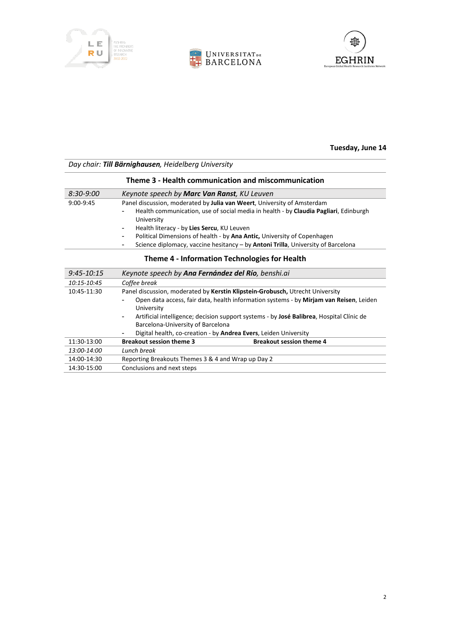





#### **Tuesday, June 14**

#### *Day chair: Till Bärnighausen, Heidelberg University*

| Theme 3 - Health communication and miscommunication |                                                                                                                                                                                                                                                                                                                                                                                                                |  |
|-----------------------------------------------------|----------------------------------------------------------------------------------------------------------------------------------------------------------------------------------------------------------------------------------------------------------------------------------------------------------------------------------------------------------------------------------------------------------------|--|
| 8:30-9:00                                           | Keynote speech by <b>Marc Van Ranst</b> , KU Leuven                                                                                                                                                                                                                                                                                                                                                            |  |
| $9:00-9:45$                                         | Panel discussion, moderated by Julia van Weert, University of Amsterdam<br>Health communication, use of social media in health - by Claudia Pagliari, Edinburgh<br>-<br>University<br>Health literacy - by Lies Sercu, KU Leuven<br>-<br>Political Dimensions of health - by Ana Antic, University of Copenhagen<br>-<br>Science diplomacy, vaccine hesitancy - by Antoni Trilla, University of Barcelona<br>- |  |

# **Theme 4 - Information Technologies for Health**

| $9:45 - 10:15$ | Keynote speech by Ana Fernández del Río, benshi.ai                                                                                                                                                                                                                |  |
|----------------|-------------------------------------------------------------------------------------------------------------------------------------------------------------------------------------------------------------------------------------------------------------------|--|
| 10:15-10:45    | Coffee break                                                                                                                                                                                                                                                      |  |
| 10:45-11:30    | Panel discussion, moderated by Kerstin Klipstein-Grobusch, Utrecht University                                                                                                                                                                                     |  |
|                | Open data access, fair data, health information systems - by Mirjam van Reisen, Leiden<br>University<br>Artificial intelligence; decision support systems - by José Balibrea, Hospital Clínic de<br>$\overline{\phantom{a}}$<br>Barcelona-University of Barcelona |  |
|                | Digital health, co-creation - by <b>Andrea Evers</b> , Leiden University                                                                                                                                                                                          |  |
| 11:30-13:00    | <b>Breakout session theme 3</b><br><b>Breakout session theme 4</b>                                                                                                                                                                                                |  |
| 13:00-14:00    | Lunch break                                                                                                                                                                                                                                                       |  |
| 14:00-14:30    | Reporting Breakouts Themes 3 & 4 and Wrap up Day 2                                                                                                                                                                                                                |  |
| 14:30-15:00    | Conclusions and next steps                                                                                                                                                                                                                                        |  |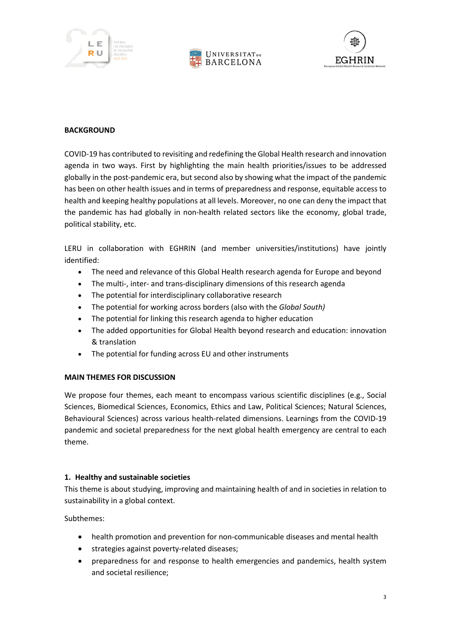





#### **BACKGROUND**

COVID-19 has contributed to revisiting and redefining the Global Health research and innovation agenda in two ways. First by highlighting the main health priorities/issues to be addressed globally in the post-pandemic era, but second also by showing what the impact of the pandemic has been on other health issues and in terms of preparedness and response, equitable access to health and keeping healthy populations at all levels. Moreover, no one can deny the impact that the pandemic has had globally in non-health related sectors like the economy, global trade, political stability, etc.

LERU in collaboration with EGHRIN (and member universities/institutions) have jointly identified:

- The need and relevance of this Global Health research agenda for Europe and beyond
- The multi-, inter- and trans-disciplinary dimensions of this research agenda
- The potential for interdisciplinary collaborative research
- The potential for working across borders (also with the *Global South)*
- The potential for linking this research agenda to higher education
- The added opportunities for Global Health beyond research and education: innovation & translation
- The potential for funding across EU and other instruments

# **MAIN THEMES FOR DISCUSSION**

We propose four themes, each meant to encompass various scientific disciplines (e.g., Social Sciences, Biomedical Sciences, Economics, Ethics and Law, Political Sciences; Natural Sciences, Behavioural Sciences) across various health-related dimensions. Learnings from the COVID-19 pandemic and societal preparedness for the next global health emergency are central to each theme.

# **1. Healthy and sustainable societies**

This theme is about studying, improving and maintaining health of and in societies in relation to sustainability in a global context.

Subthemes:

- health promotion and prevention for non-communicable diseases and mental health
- strategies against poverty-related diseases;
- preparedness for and response to health emergencies and pandemics, health system and societal resilience;